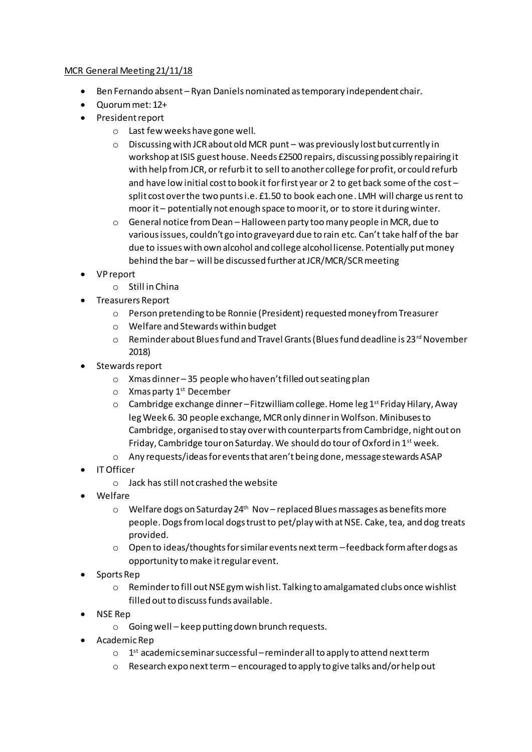## MCR General Meeting 21/11/18

- Ben Fernando absent Ryan Daniels nominated as temporary independent chair.
- Quorum met: 12+
- President report
	- o Last few weeks have gone well.
	- $\circ$  Discussing with JCR about old MCR punt was previously lost but currently in workshop at ISIS guest house. Needs £2500 repairs, discussing possibly repairing it with help from JCR, or refurb it to sell to another college for profit, or could refurb and have low initial cost to book it for first year or 2 to get back some of the cost – split cost over the two punts i.e. £1.50 to book each one. LMH will charge us rent to moor it – potentially not enough space to moor it, or to store it during winter.
	- o General notice from Dean Halloween party too many people in MCR, due to various issues, couldn't go into graveyard due to rain etc. Can't take half of the bar due to issues with own alcohol and college alcohol license. Potentially put money behind the bar – will be discussed further at JCR/MCR/SCR meeting
- VP report
	- o Still in China
- Treasurers Report
	- o Person pretending to be Ronnie (President) requested money from Treasurer
	- o Welfare and Stewards within budget
	- $\circ$  Reminder about Blues fund and Travel Grants (Blues fund deadline is 23rd November 2018)
- Stewards report
	- o Xmas dinner 35 people who haven't filled out seating plan
	- $\circ$  Xmas party 1<sup>st</sup> December
	- o Cambridge exchange dinner –Fitzwilliam college. Home leg 1st Friday Hilary, Away leg Week 6. 30 people exchange, MCR only dinner in Wolfson. Minibuses to Cambridge, organised to stay over with counterparts from Cambridge, night out on Friday, Cambridge tour on Saturday. We should do tour of Oxford in 1st week.
	- o Any requests/ideas for events that aren't being done, message stewards ASAP
- IT Officer
	- o Jack has still not crashed the website
- Welfare
	- $\circ$  Welfare dogs on Saturday 24<sup>th</sup> Nov replaced Blues massages as benefits more people. Dogs from local dogs trust to pet/play with at NSE. Cake, tea, and dog treats provided.
	- $\circ$  Open to ideas/thoughts for similar events next term feedback form after dogs as opportunity to make it regular event.
- Sports Rep
	- o Reminder to fill out NSE gym wish list. Talking to amalgamated clubs once wishlist filled out to discuss funds available.
- NSE Rep
	- o Going well keep putting down brunch requests.
- Academic Rep
	- $\circ$  1st academic seminar successful reminder all to apply to attend next term
	- o Research expo next term encouraged to apply to give talks and/or help out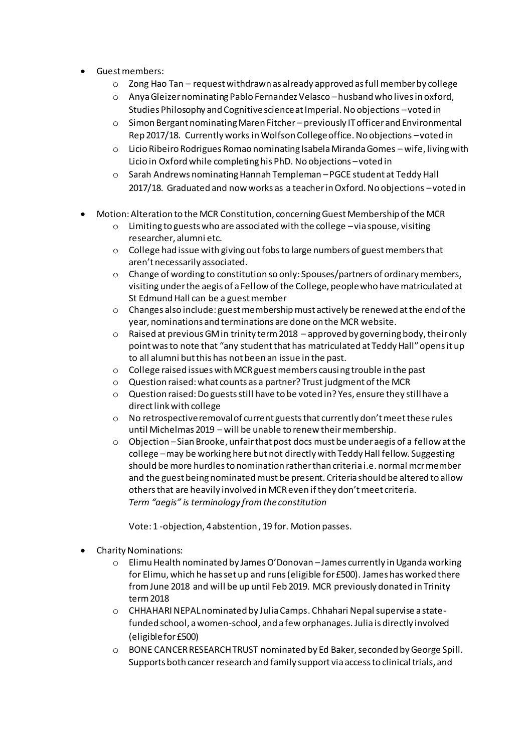- Guest members:
	- $\circ$  Zong Hao Tan request withdrawn as already approved as full member by college
	- o Anya Gleizer nominating Pablo Fernandez Velasco –husband who lives in oxford, Studies Philosophy and Cognitive science at Imperial. No objections –voted in
	- o Simon Bergant nominating Maren Fitcher previously IT officer and Environmental Rep 2017/18. Currently works in Wolfson College office. No objections –voted in
	- o Licio Ribeiro Rodrigues Romao nominating Isabela Miranda Gomes wife, living with Licio in Oxford while completing his PhD. No objections –voted in
	- o Sarah Andrews nominating Hannah Templeman –PGCE student at Teddy Hall 2017/18. Graduated and now works as a teacher in Oxford. No objections –voted in
- Motion: Alteration to the MCR Constitution, concerning Guest Membership of the MCR
	- o Limiting to guests who are associated with the college –via spouse, visiting researcher, alumni etc.
	- $\circ$  College had issue with giving out fobs to large numbers of guest members that aren't necessarily associated.
	- o Change of wording to constitution so only: Spouses/partners of ordinary members, visiting under the aegis of a Fellow of the College, people who have matriculated at St Edmund Hall can be a guest member
	- o Changes also include: guest membership must actively be renewed at the end of the year, nominations and terminations are done on the MCR website.
	- $\circ$  Raised at previous GM in trinity term 2018 approved by governing body, their only point was to note that "any student that has matriculated at Teddy Hall" opens it up to all alumni but this has not been an issue in the past.
	- $\circ$  College raised issues with MCR guest members causing trouble in the past
	- o Question raised: what counts as a partner? Trust judgment of the MCR
	- o Question raised: Do guests still have to be voted in? Yes, ensure they still have a direct link with college
	- o No retrospective removal of current guests that currently don't meet these rules until Michelmas 2019 – will be unable to renew their membership.
	- o Objection –Sian Brooke, unfair that post docs must be under aegis of a fellow at the college –may be working here but not directly with Teddy Hall fellow. Suggesting should be more hurdles to nomination rather than criteria i.e. normal mcr member and the guest being nominated must be present. Criteria should be altered to allow others that are heavily involved in MCR even if they don't meet criteria. *Term "aegis" is terminology from the constitution*

Vote: 1 -objection, 4 abstention , 19 for. Motion passes.

- Charity Nominations:
	- $\circ$  Elimu Health nominated by James O'Donovan James currently in Uganda working for Elimu, which he has set up and runs (eligible for £500). James has worked there from June 2018 and will be up until Feb 2019. MCR previously donated in Trinity term 2018
	- o CHHAHARI NEPAL nominated by Julia Camps. Chhahari Nepal supervise a statefunded school, a women-school, and a few orphanages. Julia is directly involved (eligible for £500)
	- o BONE CANCER RESEARCH TRUST nominated by Ed Baker, seconded by George Spill. Supports both cancer research and family support via access to clinical trials, and